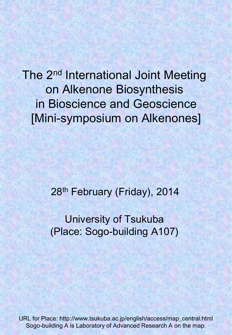The 2<sup>nd</sup> International Joint Meeting on Alkenone Biosynthesis in Bioscience and Geoscience [Mini-symposium on Alkenones]

28<sup>th</sup> February (Friday), 2014

University of Tsukuba (Place: Sogo-building A107)

URL for Place: http://www.tsukuba.ac.jp/english/access/map\_central.html Sogo-building A is Laboratory of Advanced Research A on the map.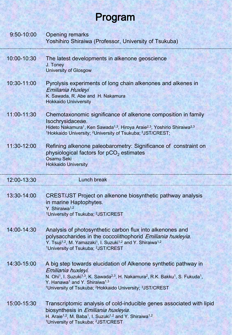## Program

| $9:50 - 10:00$ | <b>Opening remarks</b><br>Yoshihiro Shiraiwa (Professor, University of Tsukuba)                                                                                                                                                                                                                                                                                                                             |
|----------------|-------------------------------------------------------------------------------------------------------------------------------------------------------------------------------------------------------------------------------------------------------------------------------------------------------------------------------------------------------------------------------------------------------------|
| 10:00-10:30    | The latest developments in alkenone geoscience<br>J. Toney<br><b>University of Glosgow</b>                                                                                                                                                                                                                                                                                                                  |
| 10:30-11:00    | Pyrolysis experiments of long chain alkenones and alkenes in<br>Emiliania Huxleyi<br>K. Sawada, R. Abe and H. Nakamura<br><b>Hokkaido Univiversity</b>                                                                                                                                                                                                                                                      |
| 11:00-11:30    | Chemotaxonomic significance of alkenone composition in family<br>Isochrysidaceae.<br>Hideto Nakamura <sup>1</sup> , Ken Sawada <sup>1,3</sup> , Hiroya Araie <sup>2,3</sup> , Yoshirio Shiraiwa <sup>2,3</sup><br><sup>1</sup> Hokkaido University; <sup>2</sup> University of Tsukuba; <sup>3</sup> JST/CREST;                                                                                             |
| 11:30-12:00    | Refining alkenone paleobarometry: Significance of constraint on<br>physiological factors for $pCO2$ estimates<br><b>Osamu Seki</b><br><b>Hokkaido University</b>                                                                                                                                                                                                                                            |
|                |                                                                                                                                                                                                                                                                                                                                                                                                             |
| 12:00-13:30    | <b>Lunch break</b>                                                                                                                                                                                                                                                                                                                                                                                          |
| 13:30-14:00    | <b>CREST/JST Project on alkenone biosynthetic pathway analysis</b><br>in marine Haptophytes.<br>Y. Shiraiwa <sup>1,2</sup><br><sup>1</sup> University of Tsukuba; <sup>2</sup> JST/CREST                                                                                                                                                                                                                    |
| 14:00-14:30    | Analysis of photosynthetic carbon flux into alkenones and<br>polysaccharides in the coccolithophorid Emiliania huxleyia.<br>Y. Tsuji <sup>1,2</sup> , M. Yamazaki <sup>1</sup> , I. Suzuki <sup>1,2</sup> and Y. Shiraiwa <sup>1,2</sup><br><sup>1</sup> University of Tsukuba; <sup>2</sup> JST/CREST                                                                                                      |
| 14:30-15:00    | A big step towards elucidation of Alkenone synthetic pathway in<br>Emiliania huxleyi.<br>N. Ohi <sup>1</sup> , I. Suzuki <sup>1,3</sup> , K. Sawada <sup>2,3</sup> , H. Nakamura <sup>2</sup> , R.K. Bakku <sup>1</sup> , S. Fukuda <sup>1</sup> ,<br>Y. Hanawa <sup>1</sup> and Y. Shiraiwa <sup>1,3</sup><br><sup>1</sup> University of Tsukuba; <sup>2</sup> Hokkaido University; <sup>3</sup> JST/CREST |